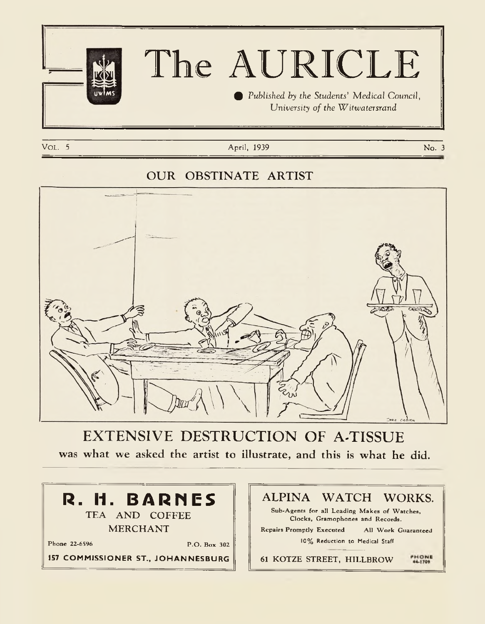

# **The AURICLE**

*% Published by the Students' Medical Council, University of the Witwatersrand* 

Vol. 5 April, 1939 No. 3 April, 1939 No. 3 April, 1939 No. 3 April 1939 No. 3 April 1939 No. 3 April 1939 No. 3

### **OUR OBSTINATE ARTIST**



**EXTENSIVE DESTRUCTION OF A-TISSUE** was what we asked the artist to illustrate, and this is what he did.



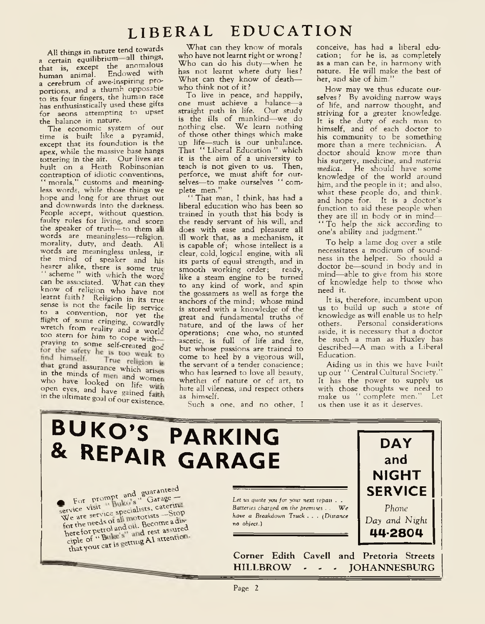# **l ib e r a l e d u c a t i o n**

All things in nature tend towards a certain equilibrium all things, that is, except the anomalous human animal. Endowed with a cerebrum of awe-inspiring proportions, and a thumb opposable to its four fingers, the human race has enthusiastically used these gifts for aeons attempting to upset the balance in nature.

The economic system of our time is built like a pyramid, except that its foundation is the apex, while the massive base hangs tottering in the air. Our lives are built on a Heath Robinsonian contraption of idiotic conventions, " morals," customs and meaningless words, while those things we hope and long for are thrust out and downwards into the darkness. People accept, without question, faulty rules for living, and scorn the speaker of truth—to them all words are meaningless—religion, morality, duty, and death. All words are meaningless unless, ir the mind of speaker and his hearer alike, there is some true " scheme" with which the wore can be associated. What can they know of religion who have nol learnt faith? Religion in its true sense is not the facile lip service to a convention, nor yet the flight of some cringing, cowardly wretch from reality and a world too stern for him to cope with praying to some self-created god<br>for the safety he is too weak to find himself. True religion is that grand assurance which arises<br>in the minds of men and women who have looked on life with open eyes, and have gained faith. in the ultimate goal of our existence.

What can they know of morals who have not learnt right or wrong ? Who can do his duty— when he has not learnt where duty lies? What can they know of death who think not of it ?

To live in peace, and happily, one must achieve a balance—a straight path in life. Our study is the ills of mankind—we do nothing else. We learn nothing of those other things which make up life—such is our unbalance. That " Liberal Education " which it is the aim of a university to teach is not given to us. Then, perforce, we must shift for ourselves-- to make ourselves " complete men."

' That man, I think, has had a liberal education who has been so trained in youth that his body is the ready servant of his will, and does with ease and pleasure all ill work that, as a mechanism, it is capable of; whose intellect is a clear, cold, logical engine, with all its parts of equal strength, and in smooth working order; ready, like a steam engine to be turned to any kind of work, and spin the gossamers as well as forge the anchors of the mind; whose mind is stored with a knowledge of the great and fundamental truths of nature, and of the laws of her operations; one who, no stunted ascetic, is full of life and fire, but whose passions are trained to come to heel by a vigorous will, the servant of a tender conscience; who has learned to love all beauty, whethei of nature or of art, to hate all vileness, and respect others as himself.

Such a one, and no other, I

conceive, has had a liberal education; for he is, as completely as a man can be, in harmony with nature. He will make the best of her, and she of him."

How may we thus educate ourselves? By avoiding narrow ways of life, and narrow thought, and striving for a greater knowledge. It is the duty of each man to himself, and of each doctor to his community to be something more than a mere technician. A doctor should know more than his surgery, medicine, and *materia medica.* He should have some knowledge of the world around him, and the people in it; and also, what these people do, and think, and hope for. It is a doctor's function to aid these people when they are ill in body or in mind— " To help the sick according to one's ability and judgment."

To help a lame dog over a stile necessitates a modicum of soundness in the helper. So should a doctor be—sound in body and in mind— able to give from his store of knowledge help to those who need it.

It is, therefore, incumbent upon us to build up such a store of knowledge as will enable us to help<br>others. Personal considerations Personal considerations aside, it is necessary that a doctor be such a man as Huxley has described—A man with a Liberal Education.

Aiding us in this we have built up our " Central Cultural Society." It has the power to supply us with those thoughts we need to make us " complete men." Let us then use it as it deserves.

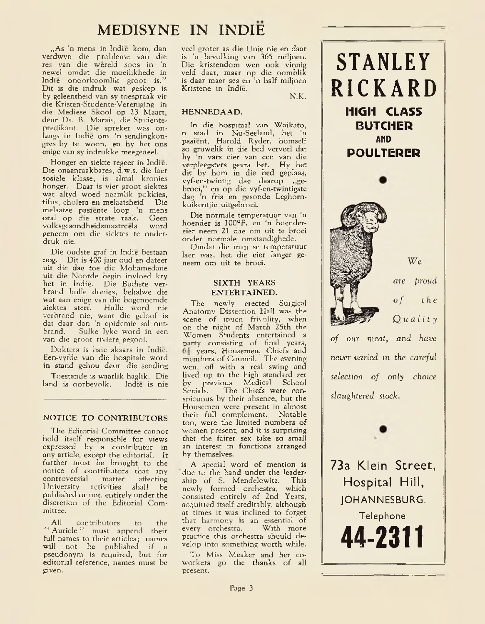# **MEDISYNE IN INDIE**

,,As 'n mens in Indie kom, dan verdwyn die probleme van die res van die wereld soos in 'n newel omdat die moeilikhede in Indie onoorkoomlik groot is." Dit is die indruk wat geskep is by geleentheid van sy toespraak vir die Kristen-Studente-Vereniging in die Mediese Skool op 23 Maart, deur Ds. B. Marais, die Studentepredikant. Die spreker was onlangs in Indie om 'n sendingkongres by te woon, en hy het ons enige van sy indrukke meegedeel.

Honger en siekte regeer in Indie. Die onaanraakbares, d.w.s. die laer sosiale klasse, is almal kronies honger. Daar is vier groot siektes wat altyd woed naamlik pokkies, tifus, cholera en melaatsheid. Die melaatse pasiente loop 'n mens oral op die strate raak. Geen<br>volksgesondheidsmaatreels word volksgesondheidsmaatreels geneem om die siektes te onderdruk nie.

Die oudste graf in Indie bestaan nog. Dit is 400 jaar oud en dateer uit die dae toe die Mohamedane uit die Noorde begin invloed kry het in Indie. Die Budiste verbrand hulle dooies, behalwe die wat aan enige van die bogenoemde siektes sterf. Hulle word nie verbrand nie, want die geloof is dat daar dan 'n epidemie sal ontbrand. Sulke lyke word in een van die groot riviere gegooi.

Dokters is baie skaars in Indie. Een-vyfde van die hospitale word in stand gehou deur die sending

Toestande is waarlik haglik. Die land is oorbevolk.

### NOTICE TO CONTRIBUTORS

The Editorial Committee cannot hold itself responsible for views expressed by a contributor in any article, except the editorial. It further must be brought to the notice of contributors that any<br>controversial matter affecting controversial matter affecting University activities published or not, entirely under the discretion of the Editorial Committee.

All contributors to the " Auricle" must append their full names to their articles; names will not be published if a pseudonym is required, but for editorial reference, names must be given.

veel groter as die Unie nie en daar is 'n bevolking van 365 miljoen. Die kristendom wen ook vinnig veld daar, maar op die oomblik is daar maar ses en 'n half miljoen Kristene in Indie.

N.K.

### HENNEDAAD.

In die hospitaal van Waikato, n stad in Nu-Seeland, het 'n pasient, Harold Ryder, homself so gruwelik in die bed verveel dat hy 'n vars eier van een van die verpleegsters gevra het. Hy het dit by horn in die bed geplaas, vyf-en-twintig dae daarop ,,gebroei," en op die vyf-en-twintigste dag 'n fris en gesonde Leghornkuikentjie uitgebroei.

Die normale temperatuur van 'n hoender is I00°F. en 'n hoendereier neem 21 dae om uit te broei onder normale omstandighede.

Omdat die man se temperatuur laer was, het die eier langer geneem om uit te broei.

### SIXTH YEARS ENTERTAINED.

The newly elected Surgical Anatomy Dissection Hall was the scene of much frivolity, when on the night of March 25th the Women Students entertained a party consisting of final years, years, Housemen, Chiefs and members of Council. The evening wen. off with a real swing and lived up to the high standard set by previous Medical School Socials. The Chiefs were conspicuous by their absence, but the Housemen were present in almost their full complement. Notable too, were the limited numbers of women present, and it is surprising that the fairer sex take so small an interest in functions arranged by themselves.

A special word of mention is due to the band under the leadership of S. Mendelowitz. This newly formed orchestra, which consisted entirely of 2nd Years, acquitted itself creditably, although at times it was inclined to forget that harmony is an essential of every orchestra. practice this orchestra should develop into something worth while.

To Miss Meaker and her coworkers go the thanks of all present.

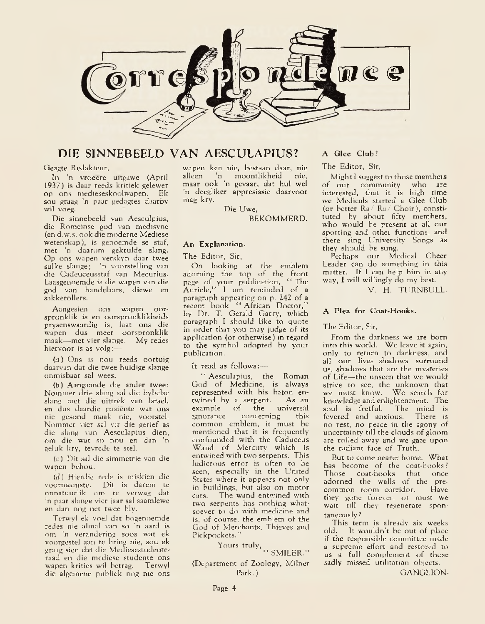

### **DIE S1NNEBEELD VAN AESCULAPIUS!**

#### Geagte Redakteur,

In 'n vroeere uitgawe (April 1937) is daar reeds kritiek gelewer op ons medieseskoolwapen. Ek sou graag 'n paar gedagtes daarby wil voeg.

Die sinnebeeld van Aesculpius, die Romeinse god van medisyne (en d.w.s. ook die moderne Mediese wetenskap), is genoemde se staf, met 'n daarom gekrulde slang. Op ons wapen verskyn daar twee sulke slange; 'n voorstelling van die Cadeuceusstaf van Mecurius. Laasgenoemde is die wapen van die god van handelaars, diewe en sakkerollers.

Aangesien ons wapen oorspronklik is en oorspronklikheids prysenswaardig is, laat ons die wapen dus nicer oorspronklik maak—met vier slange. My redes hiervoor is as volg:—

*( a* ) Ons is nou reeds oortuig daarvan dat die twee huidige slange onmisbaar sal wees.

*(b)* Aangaande die ander twee: Nommer drie slang sal die bybelse slang met die uittrek van Israel, en dus daardie pasiente wat ons nie gesond maak nie, voorstel. Nommer vier sal vir die gerief as die slang van Aesculapius dien, om die wat so nou en dan 'n geluk kry, tevrede te stel.

(c) Dit sal die simmetrie van die wapen behou.

*(d)* Hierdie rede is miskien die voornaamste. Dit is darem te onnatuurlik om te verwag dat 'n paar slange vier jaar sal saamlewe en dan nog net twee bly.

Terwyl ek voel dat bogenoemde redes nie almal van so 'n aard is om 'n verandering soos wat ek voorgestel aan te bring nie, sou ek graag sien dat die Mediesestudenteraad en die mediese studente ons wapen krities wil betrag. Terwyl die algemene publiek nog nie ons wapen ken nie, bestaan daar, nie alleen 'n moontlikheid nie, maar ook 'n gevaar, dat hul wel 'n deegliker appresiasie daarvoor mag kry.

Die Uwe,

BEKOMMERD.

### An Explanation.

The Editor, Sir,

On looking at the emblem adorning the top of the front page of your publication, " The Auricle," I am reminded of a paragraph appearing on p. 242 of a recent book " African Doctor," by Dr. T. Gerald Garry, which paragraph I should like to quote in order that you may judge of its application (or otherwise) in regard to the symbol adopted by your publication.

It read as follows:—

" Aesculapius, the Roman God of Medicine, is always represented with his baton en-<br>twined by a serpent. As an twined by a serpent. As an<br>example of the universal example of the universal<br>ignorance concerning this concerning common emblem, it must be mentioned that it is frequently confounded with the Caduceus Wand of Mercury which is entwined with two serpents. This ludicrous error is often to be seen, especially in the United States where it appears not only in buildings, but also on motor cars. The wand entwined with two serpents has nothing whatsoever to do with medicine and is, of course, the emblem of the God of Merchants, Thieves and Pickpockets."

### Yours truly,

 $\lq\lq$  SMILER." (Department of Zoology, Milner Park.)

### A Glee Club ?

The Editor, Sir,

Might I suggest to those membets of our community who are interested, that it is high time we Medicals started a Glee Club (or better Ra/ Ra/ Choir), constituted by about fifty members, who would be present at all our sporting and othei functions, and there sing University Songs as they should be sung.

Perhaps our Medical Cheer Leader can do something in this matter. If I can help him in any way, I will willingly do my best.

V. H. TURNBULL.

### A Plea for Coat-Hooks.

### The Editor, Sir,

From the darkness we are born into this world. We leave it again, only to return to darkness, and all our lives shadows surround us, shadows that are the mysteries of Life—the unseen that we would strive to see, the unknow'n that we must know. We search for knowledge and enlightenment. The<br>soul is fretful. The mind is soul is fretful. The mind is<br>fevered and anxious. There is fevered and anxious. no rest, no peace in the agony of uncertainty till the clouds of gloom are rolled away and we gaze upon the radiant face of Truth.

But to come nearer home. What has become of the coat-hooks*!* Those coat-hooks that once adorned the walls of the precommon room corridor. Have they gone forever, or must we wait till they regenerate spontaneously ?

This term is already six weeks old. It wouldn't be out of place if the responsible committee made a supreme effort and restored to us a full complement of those sadly missed utilitarian objects.

GANGLION-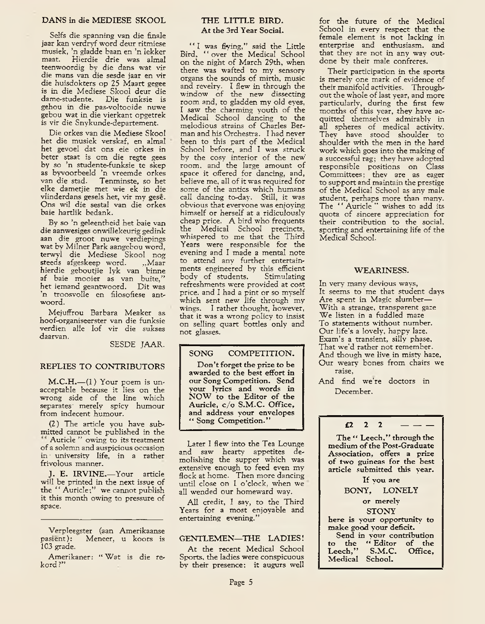Selfs die spanning van die finale jaar kan verdryf word deur ritmiese musiek, 'n gladde baan en 'n lekker Hierdie drie was almal teenwoordig by die dans wat vir die mans van die sesde jaar en vir die huisdokters op 25 Maart gegee is in die Mediese Skool deur die dame-studente. Die funksie is gehou in die pas-voltooide nuwe gebou wat in die vierkant opgetrek is vir die Snykunde-departement.

Die orkes van die Mediese Skool het die musiek verskaf, en almal het gevoel dat ons eie orkes in beter staat is om die regte gees by so 'n studente-funksie te skep as byvoorbeeld 'n vreemde orkes van die stad. Tenminste, so het elke dametjie met wie ek in die vlinderdans gesels het, vir my gese. Ons wil die sestal van die orkes baie hartlik bedank.

By so 'n geleentheid het baie van die aanwesiges onwillekeurig gedink aan die groot nuwe verdiepings wat by Milner Park aangebou word, terwyl die Mediese Skool nog steeds afgeskeep word. ...Maar hierdie geboutjie lyk van binne af baie mooier as van buite.' het iemand geantwoord. Dit was 'n troosvolle en filosofiese antwoord.

Mejuffrou Barbara Meaker as hoof-organiseerster van die funksie verdien alle lof vir die sukses daarvan.

SESDE JAAR.

### REPLIES TO CONTRIBUTORS

 $M.C.H.$ — $(1)$  Your poem is unacceptable because it lies on the wrong side of the line which separates' merely spicy humour from indecent humour.

(2) The article you have submitted cannot be published in the Auricle " owing to its treatment of a solemn and auspicious occasion in • university life, in a rather frivolous manner.

J. E. IRVINE.-Your article will be printed in the next issue of the " Auricle;" we cannot publish it this month owing to pressure of space.

Verpleegster (aan Amerikaanse<br>pasient): Meneer, u koors is Meneer, u koors is 103 grade.

Amerikaner: " Wat is die rekord?"

### THE LITTLE BIRD. At the 3rd Year Social.

" I was flying," said the Little Bird, "over the Medical School on the night of March 29th, when there was wafted to my sensory organs the sounds of mirth, music and revelry. I flew in through the window of the new dissecting room and, to gladden my old eyes, I saw the charming youth of the Medical School dancing to the melodious strains of Charles Berman and his Orchestra. I had never been to this part of the Medical School before, and I was struck by the cosy interior of the new room, and the large amount of space it offered for dancing, and, believe me, all of it was required for some of the antics which humans call dancing to-day. Still, it was obvious that everyone was enjoying himself or herself at a ridiculously cheap price. A bird who frequents the Medical School precincts, whispered to me that the Third Years were responsible for the evening and I made a mental note to attend any further entertainments engineered by this efficient<br>body of students. Stimulating body of students. refreshments were provided at cost price, and I had a pint or so myself which sent new life through my wings. I rather thought, however, that it was a wrong policy to insist on selling quart bottles only and not glasses.

SONG COMPETITION.

Don't forget the prize to be awarded to the best effort in our Song Competition. Send your lyrics and words in NOW to the Editor of the Auricle, c/o S.M.C. Office, and address your envelopes " Song Competition."

Later I flew into the Tea Lounge and saw hearty appetites demolishing the supper which was extensive enough to feed even my flock at home. Then more dancing until close on 1 o'clock, when we all wended our homeward way.

All credit, I say, to the Third Years for a most enjoyable and entertaining evening.'

### GENTLEMEN-THE LADIES!

At the recent Medical School Sports, the ladies were conspicuous by their presence: it augurs well for the future of the Medical School in every respect that the female element is not lacking in enterprise and enthusiasm, and that they are not in any way outdone by their male confreres.

Their participation in the sports is merely one mark of evidence of their manifold activities. Throughout the whole of last year, and more particularly, during the first few months of this year, they have acquitted themselves admirably in all spheres of medical activity. They have stood shoulder to shoulder with the men in the hard work which goes into the making of a successful rag; they have adopted responsible positions on Class Committees; they are as eager to support and maintain the prestige of the Medical School as any male student, perhaps more than many. The "Auricle" wishes to add its quota of sincere appreciation for their contribution to the social, sporting and entertaining life of the Medical School.

### WEARINESS.

In very many devious ways, It seems to me that student days Are spent in Magic slumber— With a strange, transparent gaze We listen in a fuddled maze To statements without number. Our life's a lovely, happy laze. Exam's a transient, silly phase. That we'd rather not remember. And though we live in misty haze, Our weary bones from chairs we raise,

And find we're doctors in December.

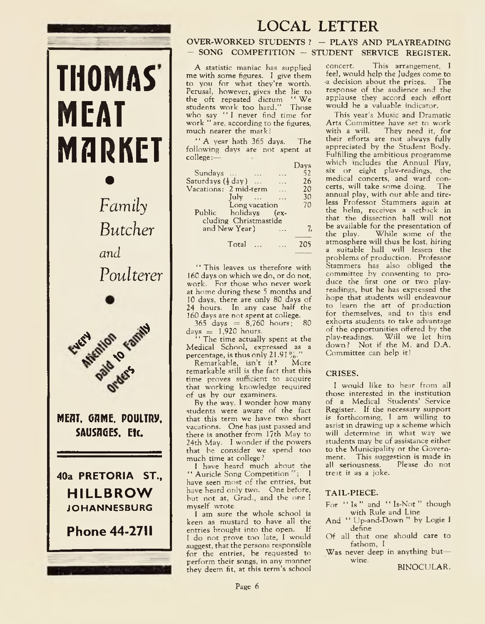

### **LOCAL LETTER**

### OVER-WORKED STUDENTS  $?$  - PLAYS AND PLAYREADING - SONG COMPETITION - STUDENT SERVICE REGISTER.

A statistic maniac has supplied me with some figures. I give them to you for what they're worth. Perusal, however, gives the lie to the oft repeated dictum " We students work too hard." Those who say "I never find time for work " are, according to the figures, much nearer the mark!

" A year hath 365 days. The following days are not spent at college:—  $D<sub>2</sub>$ 

|                                           | Ta su |
|-------------------------------------------|-------|
| Sundays<br>$\sim$                         | 52    |
| Saturdays $(\frac{1}{2}$ day)<br>$\cdots$ | 26    |
| Vacations: 2 mid-term<br>$\ddotsc$        | 20    |
| $\int u \, dv = \ldots$<br>$\sim$         | 30    |
| Long vacation                             | 70    |
| Public holidays (ex-                      |       |
| cluding Christmastide                     |       |
| and New Year)                             | 7.    |
|                                           |       |
| Total                                     |       |
|                                           |       |

' ' This leaves us therefore with 160 days on which we do, or do not, work. For those who never work at home during these 5 months and 10 days, there are only 80 days of 24 hours. In any case half the 160 days are not spent at college.

 $365$  days  $= 8,760$  hours;  $80$  $\rm days = 1,920 \; hours.$ 

' ' The time actually spent at the Medical School, expressed as a percentage, is thus only 21.91%."

Remarkable, isn't it ? More remarkable still is the fact that this time proves sufficient to acquire that working knowledge required of us by our examiners.

By the way, I wonder how many students were aware of the fact that this term we have two short vacations. One has just passed and there is another from 17th May to 24th May. I wonder if the powers that be consider we spend too much time at college?

I have heard much about the " Auricle Song Competition I have seen most of the entries, but have heard only two. One before, but not at, Grad., and the one I myself wrote.

1 am sure the whole school is keen as mustard to have all the entries brought into the open. If I do not prove too late, I would suggest, that the persons responsible for the entries, be requested to perform their songs, in any manner they deem fit, at this term's school

concert. This arrangement, I feel, would help the Judges come to •a decision about the prizes. The response of the audience and the applause they accord each effort would be a valuable indicator.

This year's Music and Dramatic Arts Committee have set to work<br>with a will. They need it, for They need it, for their efforts are not always fully appreciated by the Student Body. Fulfilling the ambitious programme which includes the Annual Play, six or eight plav-readings, the medical concerts, and ward concerts, will take some doing. The annual play, with our able and tireless Professor Stammers again at the helm, receives a setback in that the dissection hall will not be available for the presentation of<br>the play. While some of the While some of the atmosphere will thus be lost, hiring a suitable hall will lessen the problems of production. Professor Stammers has also obliged the committee by consenting to produce the first one or two playreadings, but he has exptessed the hope that students will endeavour to learn the art of production for themselves, and to this end exhorts students to take advantage of the opportunities offered by the play-readings. Will we let him down? Not if the M. and D.A. Committee can help it!

### CRISES.

I would like to hear from all those interested in the institution of a Medical Students' Service Register. If the necessary support is forthcoming, I am willing to assist in drawing up a scheme which will determine in what way we students may be of assistance either to the Municipality or the Government. This suggestion is made in<br>all seriousness. Please do not all seriousness. treat it as a joke.

### TAIL-PIECE.

- For " Is " and " Is-Not " though with Rule and Line
- And " Up-and-Down " by Logie I define
- Of all that one should care to fathom, I
- Was never deep in anything but wine.

BINOCULAR.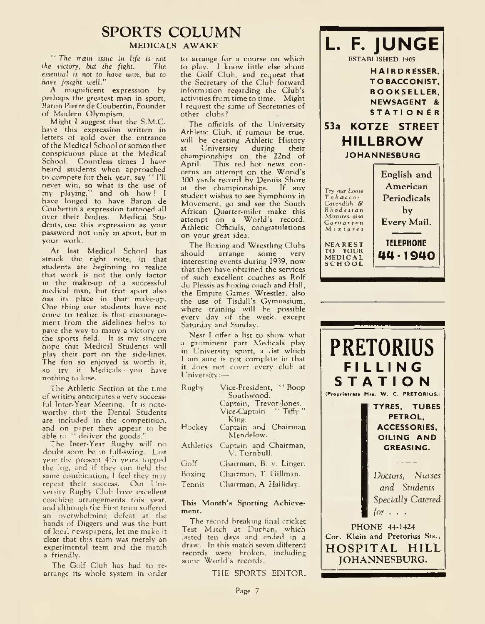## **SPORTS COLUMN**

MEDICALS AWAKE

" *The wain issue in life is* not *the victory*, *but the fight*. *essential is not to have won, hut to have fought well."*

A magnificent expression by perhaps the greatest man in sport, Baron Pierre de Coubertin, Founder of Modern Olympism.

Might I suggest that the S.M.C. have this expression written in letters of gold over the entrance of the Medical School or someother conspicuous place at the Medical School. Countless times I have heard students when approached to compete for theii year, say " I'll never win, so what is the use of my playing," and oh how ! I have longed to have Baron de Coubertin's expression tattooed all over their bodies. Medical Students, use this expression as your password not only in sport, but in your work.

At last Medical School has struck the right note, in that students are beginning to realize that work is not the only factor in the make-up of a successful medical man, but that sport also has its place in that make-up. One thing our students have not come to tealize is that encouragement from the sidelines helps to pave the way to many a victory on the sports field. It is my sincere hope that Medical Students will play their part on the side-lines. The fun so enjoyed is worth it, so try it Medicals—you have nothing to lose.

The Athletic Section at the time of writing anticipates a very successful Inter-Year Meeting. It is noteworthy that the Dental Students are included in the competition, and on paper they appear to be able to " deliver the goods."

The Inter-Year Rugby will no doubt soon be in full-swing. Last year the present 4th years topped the log, and if they can field the same combination, I feel they may repeat their success. Out University Rugby Club have excellent coaching arrangements this year, and although the First team suffered an overwhelming defeat at the hands of Diggers and was the butt of local newspapers, let me make it clear that this team was merely an experimental team and the match a friendly.

The Golf Club has had to rearrange its whole system in order to arrange for a course on which to play. I know little else about the Golf Club, and request that the Secretary of the Club forward information regarding the Club's activities from time to time. Might I request the same of Secretaries of other clubs ?

The officials of the University Athletic Club, if rumoui be true, will be creating Athletic History at University during their championships on the 22nd of April. This red hot news concerns an attempt on the World's 300 yards record by Dennis Shore at the championships. If any student wishes to see Symphony in Movement, go and see the South African Quarter-miler make this attempt on a World's record. Athletic Officials, congratulations on your great idea.

The Boxing and Wrestling Clubs<br>should arrange some very should arrange some very interesting events during 1939, now that they have obtained the services of such excellent coaches as Rolf du Plessis as boxing coach and Hall, the Empire Games Wrestler, also the use of Tisdall's Gymnasium, where training will be possible everv day of the week, except Saturday and Sunday.

Nest I offer a list to show what a prominent part Medicals play in University sport, a list which I am sure is not complete in that it does not cover every club at University:—

| Rughy     | Vice-President, "Boop<br>Southwood.   |
|-----------|---------------------------------------|
|           | Captain, Trevor-Jones.                |
|           | Vice-Captain $\cdots$ Tiffy "         |
|           | King.                                 |
| Hockey    | Captain and Chairman<br>Mendelow.     |
| Athletics | Captain and Chairman,<br>V. Turnbull. |
| Golf      | Chairman, B. v. Linger.               |
| Boxing    | Chairman, T. Gillman.                 |
| Tennis    | Chairman, A Halliday.                 |

### This Month's Sporting Achievement.

The record breaking final cricket Test Match at Durban, which lasted ten days and ended in a draw. In this match seven different records were broken, including some World's records.

THE SPORTS EDITOR.



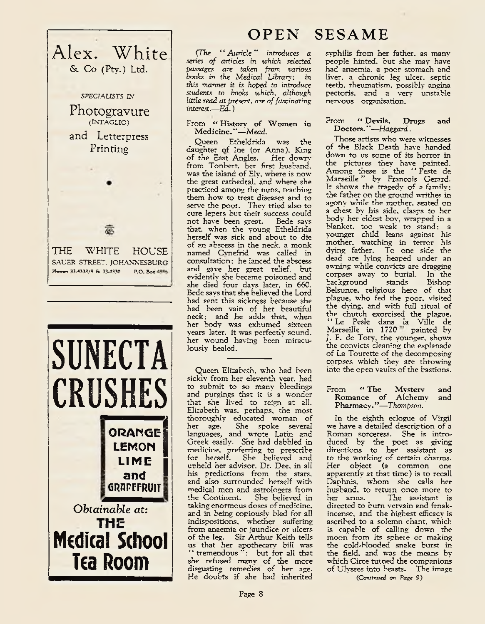



# **OPEN SESAME**

C*The " Auricle'' introduces a series of articles in which selected passages are taken from various books in the Medical Library: in this manner it is hoped to introduce students to books which, although little read at present, are of fascinating interest.*—*Ed*. )

From "History of Women in M edicine."— *Mead.*

Queen Etheldrida was the daughter of Ine (or Anna), King of the East Angles. Her dowry from Tonbert, her first husband, was the island of Ely. where is now the great cathedral, and where she practiced among the nuns, teaching them how to treat diseases and to serve the poor. They tried also to cure lepers but their success could not have been great. Bede says that, when the young Etheldrida herself was sick and about to die of an abscess in the neck, a monk named Cvnefrid was called in consultation: he lanced the abscess and gave her great relief, but evidently she became poisoned and she died four days later, in 660. Bede says that she believed the Lord had sent this sickness because she had been vain of her beautiful neck: and he adds that, when her body was exhumed sixteen years later, it was perfectly sound, her wound having been miraculously healed.

Queen Elizabeth, who had been sickly from her eleventh year, had to submit to so many bleedings and purgings that it is a wonder that she lived to reign at all. Elizabeth was, perhaps, the most thoroughly educated woman of She spoke several languages, and wrote Latin and Greek easily. She had dabbled in medicine, preferring to prescribe for herself. She believed and upheld her advisor. Dr. Dee, in all his predictions from the stars, and also surrounded herself with medical men and astrologers from the Continent. She believed in taking enormous doses of medicine. and in being copiously bled for all indispositions, whether suffering from anaemia or jaundice or ulcers of the leg. Sir Arthur Keith tells us that her apothecary bill 'was " tremendous ": but for all that she refused many of the more disgusting remedies of her age. He doubts if she had inherited

syphilis from her father, as many people hinted, but she may have had anaemia, a poor stomach and liver, a chronic leg ulcer, septic teeth, rheumatism, possibly angina pectoris, and a very unstable nervous organisation.

### From " Devils, Drugs and Doctors."—*Haggard.*

Those artists who were witnesses of the Black Death have handed down to us some of its horror in the pictures they have painted. Among these is the " Peste de Marseille " by Francois Gerard. It shows the tragedy of a family: the father on the ground writhes in agony while the mother, seated on a chest by his side, clasps to her body her eldest boy, wrapped in a blanket, too weak to stand: a younger child leans against his mother, watching in terror his dying father. To one side the dead are lying heaped under an awning while convicts are dragging corpses away to burial. In the<br>background stands Bishop background stands Bishop Belsunce, religious hero of that plague, who fed the poor, visited the dying, and with full ritual of the church exorcised the plague. " Le Pesle dans la Ville de Marseille in 1720 painted by J. F. de Tory, the younger, shows the convicts cleaning the esplanade of La Tourette of the decomposing corpses which they are throwing into the open vaults of the bastions.

### From " The Mystery and Romance of Alchemy and Pharmacy. '*f*—*Thompson.*

In the eighth eclogue of Virgil we have a detailed description of a Roman sorceress. She is introduced by the poet as giving directions to her assistant as to the working of certain charms. Her object (a common one apparently at that time) is to recall Daphnis, whom she calls her husband, to retuin once more to<br>her arms. The assistant is The assistant is directed to bum vervain and frnakincense, and the highest efficacy is ascribed to a solemn chant, which is capable of calling down the moon from its sphere or making the cold-blooded snake burst in the field, and was the means by which Circe turned the companions of Ulysses into beasts. The image

*(Continued on Page* 9)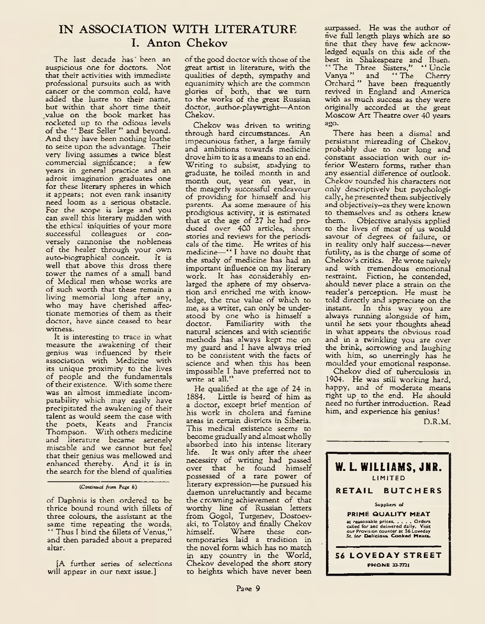### **IN ASSOCIATION WITH LITERATURE I. Anton Chekov**

The last decade has' been an auspicious one for doctors. Not that their activities with immediate professional pursuits such as with cancer or the -common cold, have added the lustre to their name, but within that short time their value on the book market has rocketed up to the odious levels of the " Best Seller " and beyond. And they have been nothing loathe to seice upon the advantage. Their very living assumes a twice blest commercial significance; a few years in general practice and an adroit imagination graduates one for these literary spheres in which it appears; not even rank insanity need loom as a serious obstacle. For the scope is large and you can swell this literary midden with the ethical iniquities of your more successful colleagues or conversely cannonise the nobleness of the healer through your own auto-biographical conceit. It is well that above this dross there tower the names of a small band of Medical men whose works are of such worth that these remain a living memorial long after any, who may have cherished affectionate memories of them as their doctor, have since ceased to bear witness.

It is interesting to trace in what measure the awakening of their genius was influenced by their association with Medicine with its unique proximity to the lives of people and the fundamentals of their existence. With some there was an almost immediate incompatability which may easily have precipitated the awakening of their talent as would seem the case with the poets, Keats and Francis Thompson. With others medicine and literature became serenely miscable and we cannot but feel that their genius was mellowed and enhanced thereby. And it is in the search for the blend of qualities

of Daphnis is then ordered to be thrice bound round with fillets of three colours, the assistant at the same time repeating the woids, *\*\** Thus I bind the fillets of Venus," and then paraded about a prepared altar.

[A further series of selections will appear in our next issue.]

of the good doctor with those of the great artist in literature, with the qualities of depth, sympathy and equanimity which are the common glories of both, that we turn to the works of the great Russian doctor, author-playwright-Anton Chekov.

Chekov was driven to writing through hard circumstances. An impecunious father, a large family and ambitions towards medicine drove him to it as a means to an end. Writing to subsist, studying to graduate, he toiled month in and month out, year on year, in the meagerly successful endeavour of providing for himself and his parents. As some measure of his prodigious activity, it is estimated that at the age of  $27$  he had produced over 400 articles, short stories and reviews for the periodicals of the time. He writes of his medicine—" I have no doubt that the study of medicine has had an important influence on my literary work. It has considerably enlarged the sphere of my observation and enriched me with knowledge, the true value of which to me, as a writer, can only be understood by one who is himself a doctor. Familiarity with the natural sciences and with scientific methods has always kept me on my guard and I have always tried to be consistent with the facts of science and when this has been impossible I have preferred not to write at all."

He qualified at the age of 24 in 1884. Little is heard of him as a doctor, except brief mention of his work in cholera and famine areas in certain districts in Siberia. This medical existence seems to become gradually and almost wholly absorbed into his intense literary<br>life. It was only after the sheer It was only after the sheer necessity of writing had passed over that he found himself possessed of a rare power of literary expression—he pursued his daemon unreluctantly and became the crowning achievement of that worthy line of Russian letters from Gogol, Turgenev, Dostoevski, to Tolstoy and finally Chekov himself. Where these contemporaries laid a tradition in the novel form which has no match in any country in the World, Chekov developed the short story to heights which have never been

surpassed. He was the author of five full length plays which are so fine that they have few acknowledged equals on this side of the best in Shakespeare and Ibsen. The Three Sisters," *\* '* Uncle Vanya" and "The Cherry Orchard " have been frequently revived in England and America with as much success as they were originally accorded at the great Moscow Art Theatre over 40 years ago.

There has been a dismal and persistant misreading of Chekov, probably due to our long and constant association with our inferior Western forms, rather than any essential difference of outlook. Chekov rounded his characters not only descriptively but psychologically, he presented them subjectively and objectiveiy—as they were known to themselves and as others knew them. Objective analysis applied to the lives of most of us would savour of degrees of failure, or in reality only half success—never futility, as is the charge of some of Chekov's critics. He wrote naively and with tremendous emotional restraint. Fiction, he contended, should never place a strain on the reader's perception. He must be told directly and appreciate on the instant. In this way you are always running alongside of him, until he sets your thoughts ahead in what appears the obvious road and in a twinkling you are over the brink, sorrowing and laughing with him, so unerringly has he moulded your emotional response.

Chekov died of tuberculosis in 1904. He was still working hard, happy, and of moderate means right up to the end. He should need no further introduction. Read him, and experience his genius!

D.R.M.



*<sup>(</sup>Continued from Page* 8)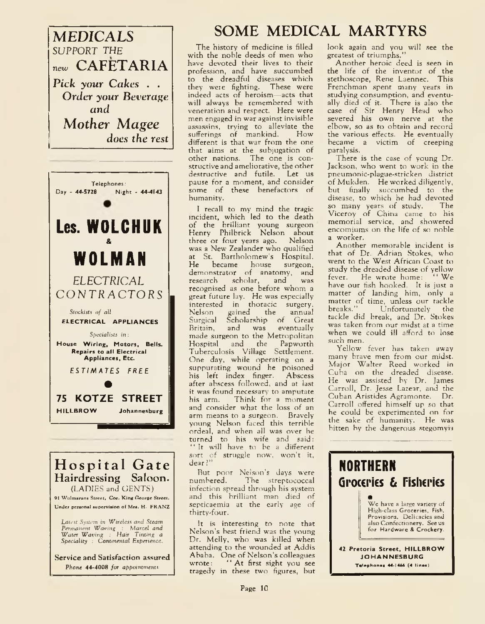





Service and Satisfaction assured *Phone* 44-4008 *for appointments* 

# **MEDICALS SOME MEDICAL MARTYRS**

The history of medicine is filled with the noble deeds of men who have devoted their lives to their profession, and have succumbed to the dreadful diseases which they weie fighting. These were indeed acts of heroism—acts that will always be remembered with veneration and respect. Here were men engaged in war against invisible assassins, trying to alleviate the<br>sufferings of mankind How sufferings of mankind. different is that war from the one that aims at the subjugation of other nations. The one is constructive and ameliorative, the other destructive and futile. Let us pause for a moment, and consider some of these benefactors of humanity.

I recall to my mind the tragic incident, which led to the death of the brilliant young surgeon Henry Philbrick Nelson about three or four years ago. Nelson was a New Zealander who qualified at St. Bartholomew's Hospital. He became house surgeon, demonstrator of anatomy, and<br>research scholar, and was research scholar, and was recognised as one before whom a great future lay. He was especially interested in thoracic surgery. Nelson gained the annual Surgical Scholarship of Great Britain, and was eventually made surgeon to the Metropolitan<br>Hospital and the Papworth the Papworth Tuberculosis Village Settlement. One day, while operating on a suppurating wound he poisoned his left index finger. Abscess after abscess followed, and at last it was found necessary to amputate<br>his arm. Think for a moment Think for a moment and consider what the loss of an arm means to a surgeon. Bravely young Nelson faced this terrible ordeal, and when all was over he turned to his wife and said: " It will have to be a different sort of struggle now, won't it, dear?"

But poor Nelson's days were<br>numbered. The streptococcal The streptococcal infection spread through his system and this brilliant man died of septicaemia at the early age of thirty-four.

It is interesting to note that Nelson's best friend was the young Dr. Melly, who was killed when attending to the wounded at Addis Ababa. One of Nelson's colleagues<br>wrote: "At first sight you see " At first sight you see tragedy in these two figures, but

look again and you will see the greatest of triumphs."

Another heroic deed is seen in the life of the inventor of the stethoscope, Rene Laennec. This Frenchman spent many years in studying consumption, and eventually died of it. There is also the case of Sir Henry Head who severed his own nerve at the elbow, so as to obtain and record the various effects. He eventually became a victim of creeping paralysis.

There is the case of young Dr. Jackson, who went to work in the pneumonic-plague-stricken district of Mukden. He worked diligently, but finally succumbed to the disease, to which he had devoted so many years of study. The Viceroy of China came to his memorial service, and showered encomiums on the life of so noble a worker.

Another memorable incident is that of Dr. Adrian Stokes, who went to the West African Coast to study the dreaded disease of yellow<br>fever. He wrote home: "We He wrote home: have our fish hooked. It is just a matter of landing him, only a matter of time, unless our tackle<br>breaks." Unfortunately the Unfortunately tackle did break, and Dr. Stokes was taken from our midst at a time when we could ill afford to lose such men.

Yellow fever has taken away many brave men from our midst. Major Walter Reed worked in Cuba on the dreaded disease. He was assisted by Dr. James Carroll, Dr. Jesse Lazear, and the Cuban Aristides Agramonte. Dr. Carroll offered himself up so that he could be experimented on for the sake of humanity. He was bitten by the dangerous stegomyia

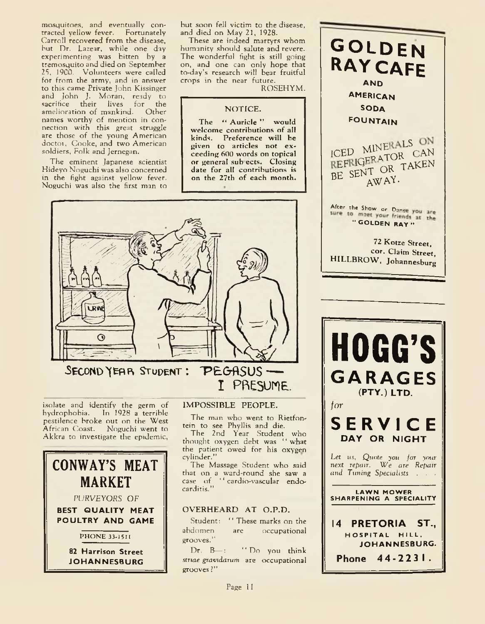mosquitoes, and eventually contracted yellow fever. Fortunately Carroll recovered from the disease, hut Dr. Lazear, while one day experimenting was bitten by a tremosquito and died on September 25. 1900. Volunteers were called for from the army, and in answer to this came Private John Kissinger and John J. Moran, ready to sacrifice their lives for the amelioration of mankind. Other names worthy of mention in connection with this great struggle are those of the young American doctoi, Cooke, and two American soldiers, Folk and Jernegan.

The eminent Japanese scientist Hideyo Noguchi was also concerned in the fight against yellow fever. Noguchi was also the first man to

but soon fell victim to the disease, and died on May 21, 1928.

These are indeed martyrs whom humanity should salute and revere. The wonderful fight is still going on, and one can only hope that to-day's research will bear fruitful crops in the near future.

ROSEHYM.

### NOTICE.

The " Auricle " would welcome contributions of all kinds. Preference will be given to articles not exceeding 600 words on topical or general sub ects. Closing date for all contributions is on the 27th of each month.



isolate and identify the germ of hydrophobia. In 1928 a terrible pestilence broke out on the West African Coast. Noguchi went to Akkra to investigate the epidemic,



### IMPOSSIBLE PEOPLE.

The man who went to Rietfontein to see Phyllis and die.

I PRESUME

The 2nd Year Student who thought oxygen debt was '' what the patient owed for his oxygen cylinder."

The Massage Student who said that on a ward-round she saw a case of ' ' cardio-vascular endocarditis."

### OVERHEARD AT O.P.D.

Student: "These marks on the<br>abdomen are occupational are occupational grooves."

Dr. B-: "Do you think *striae gravidarum* are occupational grooves ?"

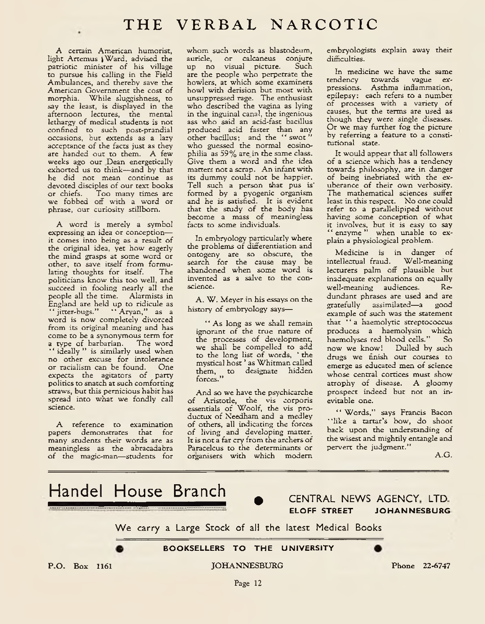A certain American humorist, light Artemus ^Ward, advised the patriotic minister of his village to pursue his calling in the Field Ambulances, and thereby save the American Government the cost of morphia. While sluggishness, to say the least, is displayed in the afternoon lectures, the mental lethargy of medical students is not confined to such post-prandial occasions, but extends as a lazy acceptance of the facts just as they are handed out to them. A few weeks ago our Dean energetically exhorted us to think—and by that he did not mean continue as devoted disciples of our text books<br>or chiefs. Too many times are Too many times are we fobbed off with a word or phrase, our curiosity stillborn.

A word is merely a symbol expressing an idea or conception it comes into being as a result of the original idea, yet how eagerly the mind grasps at some word or other, to save itself from formulating thoughts for itself. politicians know this too well, and succeed in fooling nearly all the people all the time. Alarmists in England are held up to ridicule as " jitter-bugs." " Aryan," as a word is now completely divorced from its original meaning and has come to be a synonymous term for<br>a type of barbarian. The word a type of barbarian. " ideally " is similarly used when no other excuse for intolerance<br>or racialism can be found. One or racialism can be found. One<br>expects the agitators of party expects the agitators of politics to snatch at such comforting straws, but this pernicious habit has spread into what we fondly call science.

A reference to examination papers demonstrates that for many students their words are as meaningless as the abracadabra of the magic-man—students for whom such words as blastodeum, auricle, or calcaneus conjure up no visual picture. Such are the people who perpetrate the howlers, at which some examiners howl with derision but most with unsuppressed rage. The enthusiast who described the vagina as lying in the inguinal canal, the ingenious ass who said an acid-fast bacillus produced acid faster than any other bacillus; and the "swot" who guessed the normal eosinophilia as 59% are in the same class. Give them a word and the idea matters not a scrap. An infant with its dummy could not be happier. Tell such a person that pus is' formed by a pyogenic organism and he is satisfied. It is evident that the study of the body has become a mass of meaningless *facts* to some individuals.

In embryology particularly where the problems of differentiation and ontogeny are so obscure, the search for the cause may be abandoned when some word is invented as a salve to the conscience.

A. W. Meyer in his essays on the history of embryology says—

' *\** As long as we shall remain ignorant of the true nature of the processes of development, we shall be compelled to add to the long list of words, 'the mystical host ' as Whitman called them, to designate hidden forces."

And so we have the psychicarche of Aristotle, the vis corporis essentials of Woolf, the vis productux of Needham and a medley of others, all indicating the forces of living and developing marten It is not a far cry from the archers of Paracelcus to the determinants or organisers with which modem

embryologists explain away their difficulties.

In medicine we have the same tendency towards vague expressions. Asthma inflammation, epilepsy: each refers to a number of processes with a variety of causes, but the terms are used as though they were single diseases. Or we may further fog the picture by referring a feature to a constitutional state.

It would appear that all followers of a science which has a tendency towards philosophy, are in danger of being inebriated with the exuberance of their own verbosity. The mathematical sciences suffer least in this respect. No one could refer to a parallelipiped without having some conception of what it involves, but it is easy to say " enzyme " when unable to explain a physiological problem.

Medicine is in danger of intellectual fraud. Well-meaning lecturers palm off plausible but inadequate explanations on equally<br>well-meaning audiences. Rewell-meaning audiences. dundant phrases are used and are gratefully assimilated—a good example of such was the statement that " a haemolytic streptococcus produces a haemolysin which haemolyses red blood cells." now we know! Dulled by such drugs we finish our courses to emerge as educated men of science whose central cortices must show atrophy of disease. A gloomy prospect indeed but not an inevitable one.

" Words," says Francis Bacon \* 'like a tartar's bow, do shoot back upon the understanding of the wisest and mightily entangle and pervert the judgment."

A.G.

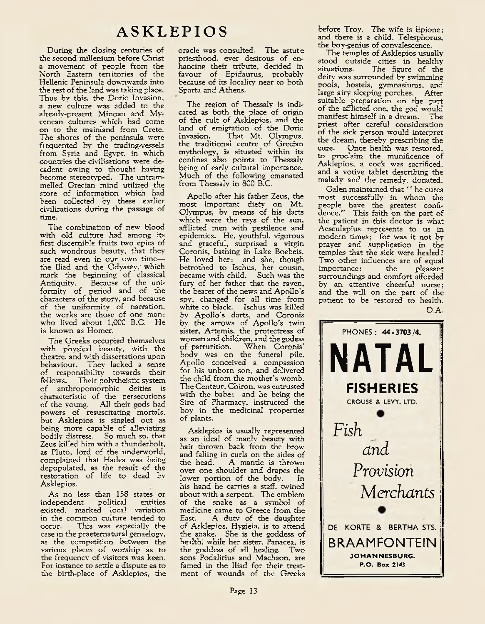During the closing centuries of the second millenium before Christ a movement of people from the North Eastern territories of the Hellenic Peninsula downwards into the rest of the land was taking place. Thus by this, the Doric Invasion, a new culture was added to the already-present Minoan and Mvcenean cultures which had come on to the mainland from Crete. The shores of the peninsula were frequented by the trading-vessels from Syria and Egypt, in which countries the civilisations were decadent owing to thought having become stereotyped. The untrammelled Grecian mind utilized the store of information which had been collected by these earlier civilizations during the passage of time.

The combination of new blood with old culture had among its first discernible fruits two epics of such wondrous beauty, that they are read even in our own time the Iliad and the Odyssey, which mark the beginning of classical Antiquity. Because of the uniformity of period and of the characters of the story, and because of the uniformity of narration, the works are those of one man; who lived about 1,000 B.C. He is known as Homer.

The Greeks occupied themselves with physical beauty, with the theatre, and with dissertations upon behaviour. They lacked a sense of responsibility towards their fellows. Their polytheistic system of anthropomorphic deities is characteristic of the persecutions of the young. All their gods had powers of resuscitating mortals, but Asklepios is singled out as being more capable of alleviating bodily distress. So much so, that Zeus killed him with a thunderbolt, as Pluto, lord of the underworld, complained that Hades was being depopulated, as the result of the restoration of life to dead by Asklepios.

As no less than 158 states or independent existed, marked local variation in the common culture tended to<br>occur. This was especially the This was especially the case in the praeternatural genaelogy, as the competition between the various places of worship as to the frequency of visitors was keen. For instance to settle a dispute as to the birth-place of Asklepios, the oracle was consulted. The astute priesthood, ever desirous of enhancing their tribute, decided in favour of Epidaurus, probably because of its locality near to both Sparta and Athens.

The region of Thessaly is indicated as both the place of origin of the cult of Asklepios, and the land of emigration of the Doric<br>Invasion. That Mt. Olympus. That Mt. Olympus, the traditional centre of Grecian mythology, is situated within its confines also points to Thessaly being of early cultural importance. Much of the following emanated from Thessaly in 800 B.C.

Apollo after his father Zeus, the most important diety on Mt. Olympus, by means of his darts which were the rays of the sun, afflicted men with pestilence and epidemics. He, youthful, vigorous and graceful, surprised a virgin Coronis, bathing in Lake Boebeis. He loved her: and she. though betrothed to Ischus, her cousin, became with child. Such was the fury of her father that the raven, the bearer of the news and Apollo's spy, changed for all time from white to black. Ischus was killed by Apollo's darts, and Coronis by the arrows of Apollo's twin sister, Artemis, the protectress of women and children, and the godess When Coronis' body was on the funeral pile, Apollo conceived a compassion for his unborn son, and delivered the child from the mother's womb. The Centaur, Chiron, was entrusted with the babe; and he being the Sire of Pharmacy, instructed the boy in the medicinal properties of plants.

Asklepios is usually represented as an ideal of manly beauty with hair thrown back from the brow and falling in curls on the sides of<br>the head. A mantle is thrown A mantle is thrown over one shoulder and drapes the<br>lower portion of the body. In lower portion of the body. his hand he carries a staff, twined about with a serpent. The emblem of the snake as a symbol of medicine came to Greece from the<br>East. A duty of the daughter A duty of the daughter of Asklepios, Hygieia, is to attend the snake. She is the goddess of health, while her sister. Panacea, is the goddess of all healing. Two sons Podalirius and Machaon, are famed in the Iliad for their treatment of wounds of the Greeks

before Troy. The wife is Epione; and there is a child, Telesphorus, the boy-genius of convalescence.

The temples of Asklepios usually stood outside cities in healthy situations. The figure of the deity was surrounded by swimming pools, hostels, gymnasiums, and large airy sleeping porches. After suitable preparation on the part of the afflicted one, the god would<br>manifest himself in a dream. The manifest himself in a dream. priest after careful consideration of the sick person would interpret the dream, thereby prescribing the cure. Once health was restored, to proclaim the munificence of Asklepios, a cock was sacrificed, and a votive tablet describing the malady and the remedy, donated.

Galen maintained that ' ' he cures most successfully in whom the people have the greatest confidence." This faith on the part of the patient in this doctor is what Aesculapius represents to us in modem times; for was it not byprayer and supplication in the temples that the sick were healed ? Two other influences are of equal<br>importance: the pleasant importance: surroundings and comfort afforded by an attentive cheerful nurse; and the will on the part of the patient to be restored to health. D.A.

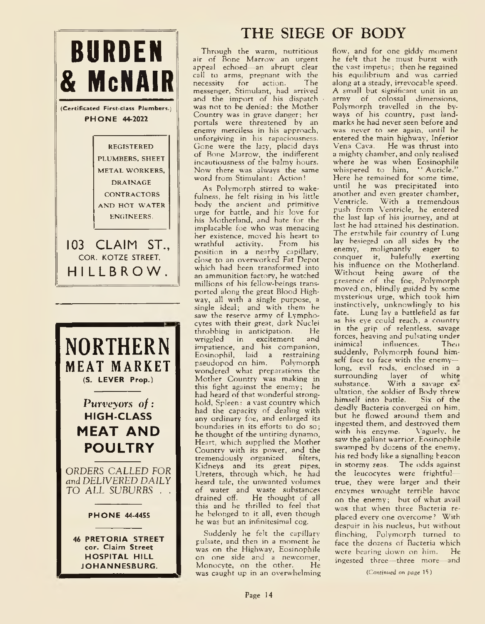

# **THE SIEGE OF BODY**

Through the warm, nutritious air of Bone Marrow an urgent appeal echoed—an abrupt clear call to arms, pregnant with the<br>necessity for action. The necessity for action. messenger, Stimulant, had arrived and the import of his dispatch was not to be denied: the Mother Country was in grave danger; her portals were threatened by an enemy merciless in his approach, unforgiving in his rapaciousness. Gone were the lazy, placid days of Bone Marrow, the indifferent incautiousness of the balmy hours. Now there was always the same word from Stimulant: Action!

As Polymorph stirred to wakefulness, he felt rising in his little body the ancient and primitive urge for battle, and his love for his Motherland, and hate for the implacable foe who was menacing her existence, moved his heart to<br>wrathful activity. From his wrathful activity. position in a nearby capillary, close to an overworked Fat Depot which had been transformed into an ammunition factory, he watched millions of his fellow-beings transported along the great Blood Highway, all with a single purpose, a single ideal; and with them he saw the reserve army of Lymphocytes with their great, dark Nuclei<br>throbbing in anticipation. He throbbing in anticipation. He<br>wriggled in excitement and wriggled in excitement impatience, and his companion, Eosinophil, laid a restraining pseudopod on him. Polymorph wondered what preparations the Mother Country was making in this fight against the enemy; he had heard of that wonderful stronghold, Spleen: a vast country which had the capacity of dealing with any ordinary foe, and enlarged its boundaries in its efforts to do so; he thought of the untiring dynamo, Heart, which supplied the Mother Country with its power, and the tremendously organized filters, Kidneys and its great pipes, Ureters, through which, he had heard tale, the unwanted volumes of water and waste substances drained off. He thought of all this and he thrilled to feel that he belonged to it all, even though he was but an infinitesimal cog.

Suddenly he felt the capillary pulsate, and then in a moment he was on the Highway, Eosinophile on one side and a newcomer,<br>Monocyte, on the other. He Monocyte, on the other. was caught up in an overwhelming flow, and for one giddy moment he fe't that he must burst with the vast impetus; then he regained his equilibrium and was carried along at a steady, irrevocable speed. A small but significant unit in an army of colossal dimensions. Polymorph travelled in the byways of his country, past landmarks he had never seen before and was never to see again, until he entered the main highway, Inferior Vena Cava. He was thrust into a mighty chamber, and only realised where he was when Eosinophile whispered to him, "Auricle." Here he remained for some time, until he was precipitated into another and even greater chamber,<br>Ventricle. With a tremendous With a tremendous push from Ventricle, he entered the last lap of his journey, and at last he had attained his destination. The erstwhile fair country of Lung lay besieged on all sides by the enemy, malignantly eager to conquer it, balefully exerting his influence on the Motherland. Without being aware of the presence of the foe, Polymorph moved on, blindly guided by some mysterious urge, which took him instinctively, unknowlingly to his fate. Lung lay a battlefield as far as his eye could reach, a country in the grip of relentless, savage forces, heaving and pulsating under<br>inimical influences. Then influences. suddenly, Polymorph found himself face to face with the enemy long, evil rods, enclosed in a surrounding layer of white<br>substance. With a savage ex-With a savage exultation, the soldier of Body threw himself into battle. Six of the deadly Bacteria converged on him, but he flowed around them and ingested them, and destroyed them with his enzyme. Vaguely, he saw the gallant warrior, Eosinophile swamped by dozens of the enemy, his red body like a signalling beacon in stormy seas. The odds against the leucocytes were frightful true, they were larger and their enzymes wrought terrible havoc on the enemy; but of what avail was that when three Bacteria replaced every one overcome? With despair in his nucleus, but without flinching, Polymorph turned to face the dozens of Bacteria which were bearing down on him. He ingested three—three more—and

(Continued on page 15)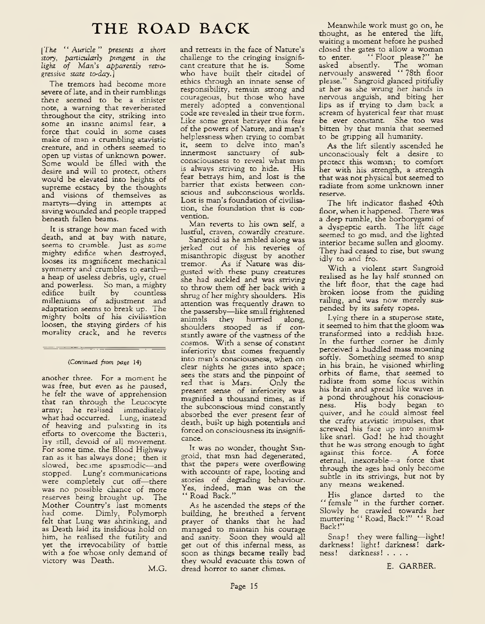*[The " Auricle" presents a short story, particularly pungent in the light o f Man's apparently retrogressive state to-day.]*

The tremors had become more severe of late, and in their rumblings there seemed to be a sinister note, a warning that reverberated throughout the city, striking into some an insane animal fear, a force that could in some cases make of man a crumbling atavistic creature, and in others seemed to open up vistas of unknown power. Some would be filled with the desire and will to protect, others wou'd be elevated into heights of supreme ecstacy by the thoughts and visions of themselves as martyrs—dying in attempts at saving wounded and people trapped beneath fallen beams.

It is strange how man faced with death, and at bay with nature, seems to crumble. Just as some mighty edifice when destroyed, looses its magnificent mechanical symmetry and crumbles to earth a heap of useless debris, ugly, cruel and powerless. So man, a mighty<br>edifice built by countless edifice built by countless milleniums of adjustment and adaptation seems to break up. The mighty bolts of his civilisation loosen, the staying girders of his morality crack, and he reveres

### *(Continued, from page* 14)

another three. For a moment he was free, but even as he paused, he felt the wave of apprehension that ran through the Leucocyte army; he realised immediately what had occurred. Lung, instead of heaving and pulsating in its efforts to overcome the Bacteria, lay still, devoid of all movement. For some time, the Blood Highway ran as it has always done; then it slowed, became spasmodic—and stopped. Lung's communications were completely cut off—there was no possible chance of more reserves being brought up. The Mother Country's last moments had come. Dimly, Polymorph felt that Lung was shrinking, and as Death laid its insidious hold on him, he realised the futility and yet the irrevocability of battle with a foe whose only demand of victory was Death.

M.G.

and retreats in the face of Nature's challenge to the cringing insignificant creature that he is. Some who have built their citadel of ethics through an innate sense of responsibility, remain strong and courageous, but those who have merely adopted a conventional code are revealed in their true form. Like some great betrayer this fear of the powers of Nature, and man's helplessness when trying to combat it, seem to delve into man's innermost sanctuary of subconsciousness to reveal what man<br>is always striving to hide. His is always striving to hide. fear betrays him, and lost is the barrier that exists between conscious and subconscious worlds. Lost is man's foundation of civilisation, the foundation that is convention.

Man reverts to his own self, a lustful, craven, cowardly creature.

Sangroid as he ambled along was jerked out of his reveries of misanthropic disgust by another tremor. As if Nature was disgusted with these puny creatures she had suckled and was striving to throw them off her back with a shrug of her mighty shoulders. His attention was frequently drawn to the passersby—like small frightened animals they hurried along, shoulders stooped as if constantly aware of the vastness of the cosmos. With a sense of constant inferiority that comes frequently into man's consciousness, when on clear nights he gazes into space; sees the stars and the pinpoint of<br>red that is Mars. Only the red that is Mars. present sense of inferiority was magnified a thousand times, as if the subconscious mind constantly absorbed the ever present fear of death, built up high potentials and forced on consciousness its insignificance.

It was no wonder, thought Sangroid, that man had degenerated, that the papers were overflowing with accounts of rape, looting and stories of degrading behaviour. Yes, indeed, man was on the " Road Back."

As he ascended the steps of the building, he breathed a fervent prayer of thanks that he had managed to maintain his courage and sanity. Soon they would all get out of this infernal mess, as soon as things became really bad they would evacuate this town of dread horror to saner climes.

Meanwhile work must go on, he thought, as he entered the lift, waiting a moment before he pushed closed the gates to allow a woman to enter. " Floor please?" he asked absently. The woman nervously answered " 78th floor please." Sangroid glanced pitifully at her as she wrung her hands in nervous anguish, and biting her lips as if trying to dam back a scream of hysterical fear that must be ever constant. She too was bitten by that mania that seemed to be gripping all humanity.

As the lift silently ascended he unconsciously felt a desire to protect this woman; to comfort her with his strength, a strength that was not physical but seemed to radiate from some unknown inner reserve.

The lift indicator flashed 40th floor, when it happened. There was a deep rumble, the borborygami of a dyspeptic earth. The lift cage seemed to go mad, and the lighted interior became sullen and gloomy. They had ceased to rise, but swung idly to and fro.

W ith a violent start Sangroid realised as he lay half stunned on the lift floor, that the cage had broken loose from the guiding railing, and was now merely suspended by its safety ropes.

Lying there in a stuperose state, it seemed to him that the gloom was transformed into a reddish haze. In the further comer he dimly perceived a huddled mass moaning softly. Something seemed to snap in his brain, he visioned whirling orbits of flame, that seemed to radiate from some focus within his brain and spread like waves in a pond throughout his consciousness. His body began to quiver, and he could almost feel the crafty atavistic impulses, that screwed his face up into animallike snarl. God! he had thought that he was strong enough to fight against this force. A force eternal, inexorable—a force that through the ages had only become subtle in its strivings, but not by any means weakened.

His glance darted to the " female " in the further corner. Slowly he crawled towards her muttering " Road, Back!" ' ' Road Back!"

Snap! they were falling— light! darkness! light! darkness! darkness! darkness! ....

E. GARBER.